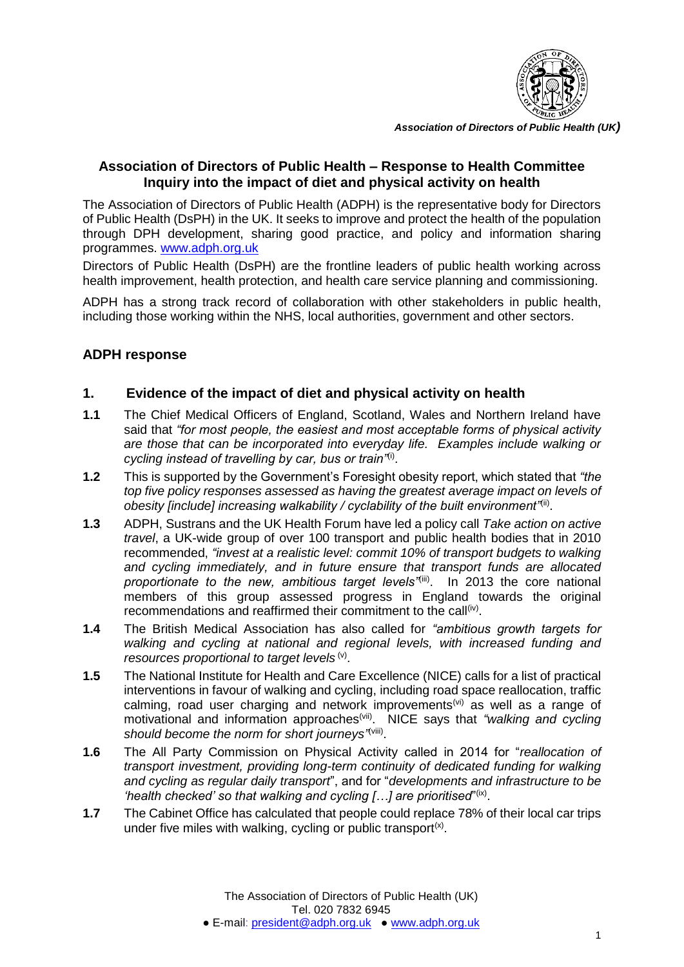

*Association of Directors of Public Health (UK)*

## **Association of Directors of Public Health – Response to Health Committee Inquiry into the impact of diet and physical activity on health**

The Association of Directors of Public Health (ADPH) is the representative body for Directors of Public Health (DsPH) in the UK. It seeks to improve and protect the health of the population through DPH development, sharing good practice, and policy and information sharing programmes. [www.adph.org.uk](http://www.adph.org.uk/)

Directors of Public Health (DsPH) are the frontline leaders of public health working across health improvement, health protection, and health care service planning and commissioning.

ADPH has a strong track record of collaboration with other stakeholders in public health, including those working within the NHS, local authorities, government and other sectors.

### **ADPH response**

#### **1. Evidence of the impact of diet and physical activity on health**

- **1.1** The Chief Medical Officers of England, Scotland, Wales and Northern Ireland have said that *"for most people, the easiest and most acceptable forms of physical activity are those that can be incorporated into everyday life. Examples include walking or cycling instead of travelling by car, bus or train"*(i) .
- **1.2** This is supported by the Government's Foresight obesity report, which stated that *"the top five policy responses assessed as having the greatest average impact on levels of*  obesity [include] increasing walkability / cyclability of the built environment<sup>"(ii)</sup>.
- **1.3** ADPH, Sustrans and the UK Health Forum have led a policy call *Take action on active travel*, a UK-wide group of over 100 transport and public health bodies that in 2010 recommended, *"invest at a realistic level: commit 10% of transport budgets to walking and cycling immediately, and in future ensure that transport funds are allocated*  proportionate to the new, ambitious target levels<sup>, iii</sup>. In 2013 the core national members of this group assessed progress in England towards the original recommendations and reaffirmed their commitment to the call<sup>(iv)</sup>.
- **1.4** The British Medical Association has also called for *"ambitious growth targets for walking and cycling at national and regional levels, with increased funding and*  resources proportional to target levels<sup>(v)</sup>.
- **1.5** The National Institute for Health and Care Excellence (NICE) calls for a list of practical interventions in favour of walking and cycling, including road space reallocation, traffic calming, road user charging and network improvements<sup>(vi)</sup> as well as a range of motivational and information approaches<sup>(vii)</sup>. NICE says that "walking and cycling should become the norm for short journeys<sup>"(viii)</sup>.
- **1.6** The All Party Commission on Physical Activity called in 2014 for "*reallocation of transport investment, providing long-term continuity of dedicated funding for walking and cycling as regular daily transport*", and for "*developments and infrastructure to be*  'health checked' so that walking and cycling [...] are prioritised"<sup>(ix)</sup>.
- **1.7** The Cabinet Office has calculated that people could replace 78% of their local car trips under five miles with walking, cycling or public transport<sup>(x)</sup>.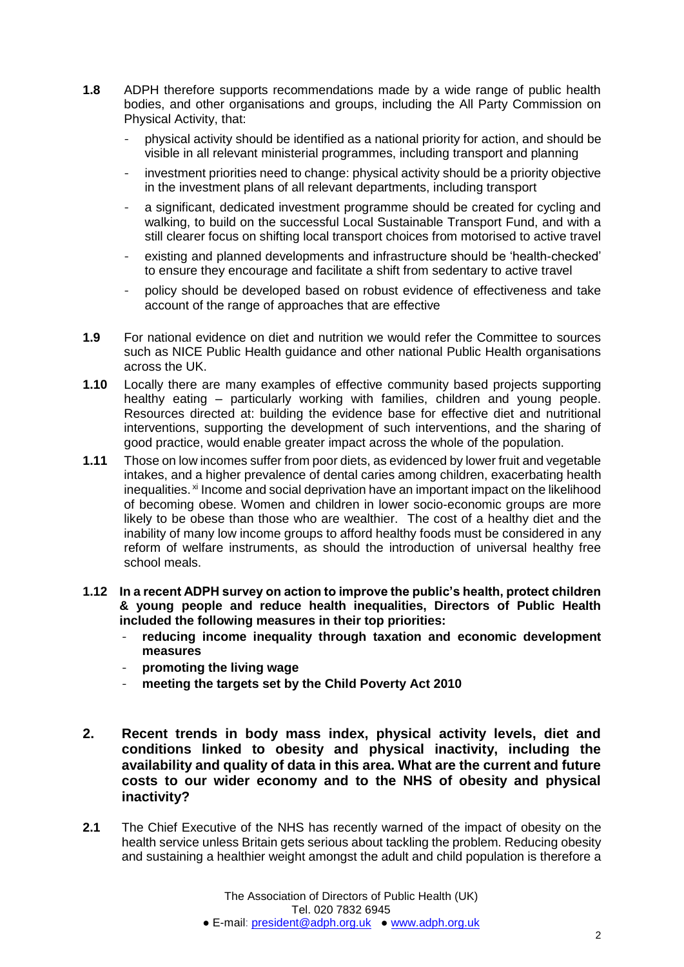- **1.8** ADPH therefore supports recommendations made by a wide range of public health bodies, and other organisations and groups, including the All Party Commission on Physical Activity, that:
	- physical activity should be identified as a national priority for action, and should be visible in all relevant ministerial programmes, including transport and planning
	- investment priorities need to change: physical activity should be a priority objective in the investment plans of all relevant departments, including transport
	- a significant, dedicated investment programme should be created for cycling and walking, to build on the successful Local Sustainable Transport Fund, and with a still clearer focus on shifting local transport choices from motorised to active travel
	- existing and planned developments and infrastructure should be 'health-checked' to ensure they encourage and facilitate a shift from sedentary to active travel
	- policy should be developed based on robust evidence of effectiveness and take account of the range of approaches that are effective
- **1.9** For national evidence on diet and nutrition we would refer the Committee to sources such as NICE Public Health guidance and other national Public Health organisations across the UK.
- **1.10** Locally there are many examples of effective community based projects supporting healthy eating – particularly working with families, children and young people. Resources directed at: building the evidence base for effective diet and nutritional interventions, supporting the development of such interventions, and the sharing of good practice, would enable greater impact across the whole of the population.
- **1.11** Those on low incomes suffer from poor diets, as evidenced by lower fruit and vegetable intakes, and a higher prevalence of dental caries among children, exacerbating health inequalities. <sup>xi</sup> Income and social deprivation have an important impact on the likelihood of becoming obese. Women and children in lower socio-economic groups are more likely to be obese than those who are wealthier. The cost of a healthy diet and the inability of many low income groups to afford healthy foods must be considered in any reform of welfare instruments, as should the introduction of universal healthy free school meals.
- **1.12 In a recent ADPH survey on action to improve the public's health, protect children & young people and reduce health inequalities, Directors of Public Health included the following measures in their top priorities:**
	- **reducing income inequality through taxation and economic development measures**
	- **promoting the living wage**
	- meeting the targets set by the Child Poverty Act 2010
- **2. Recent trends in body mass index, physical activity levels, diet and conditions linked to obesity and physical inactivity, including the availability and quality of data in this area. What are the current and future costs to our wider economy and to the NHS of obesity and physical inactivity?**
- **2.1** The Chief Executive of the NHS has recently warned of the impact of obesity on the health service unless Britain gets serious about tackling the problem. Reducing obesity and sustaining a healthier weight amongst the adult and child population is therefore a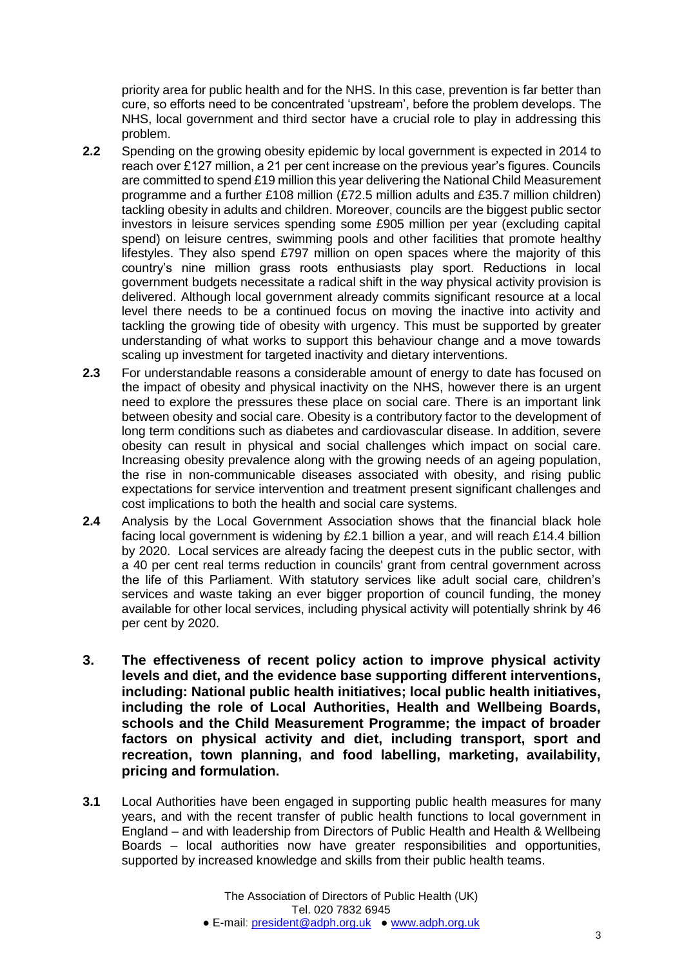priority area for public health and for the NHS. In this case, prevention is far better than cure, so efforts need to be concentrated 'upstream', before the problem develops. The NHS, local government and third sector have a crucial role to play in addressing this problem.

- **2.2** Spending on the growing obesity epidemic by local government is expected in 2014 to reach over £127 million, a 21 per cent increase on the previous year's figures. Councils are committed to spend £19 million this year delivering the National Child Measurement programme and a further £108 million (£72.5 million adults and £35.7 million children) tackling obesity in adults and children. Moreover, councils are the biggest public sector investors in leisure services spending some £905 million per year (excluding capital spend) on leisure centres, swimming pools and other facilities that promote healthy lifestyles. They also spend £797 million on open spaces where the majority of this country's nine million grass roots enthusiasts play sport. Reductions in local government budgets necessitate a radical shift in the way physical activity provision is delivered. Although local government already commits significant resource at a local level there needs to be a continued focus on moving the inactive into activity and tackling the growing tide of obesity with urgency. This must be supported by greater understanding of what works to support this behaviour change and a move towards scaling up investment for targeted inactivity and dietary interventions.
- **2.3** For understandable reasons a considerable amount of energy to date has focused on the impact of obesity and physical inactivity on the NHS, however there is an urgent need to explore the pressures these place on social care. There is an important link between obesity and social care. Obesity is a contributory factor to the development of long term conditions such as diabetes and cardiovascular disease. In addition, severe obesity can result in physical and social challenges which impact on social care. Increasing obesity prevalence along with the growing needs of an ageing population, the rise in non-communicable diseases associated with obesity, and rising public expectations for service intervention and treatment present significant challenges and cost implications to both the health and social care systems.
- **2.4** Analysis by the Local Government Association shows that the financial black hole facing local government is widening by £2.1 billion a year, and will reach £14.4 billion by 2020. Local services are already facing the deepest cuts in the public sector, with a 40 per cent real terms reduction in councils' grant from central government across the life of this Parliament. With statutory services like adult social care, children's services and waste taking an ever bigger proportion of council funding, the money available for other local services, including physical activity will potentially shrink by 46 per cent by 2020.
- **3. The effectiveness of recent policy action to improve physical activity levels and diet, and the evidence base supporting different interventions, including: National public health initiatives; local public health initiatives, including the role of Local Authorities, Health and Wellbeing Boards, schools and the Child Measurement Programme; the impact of broader factors on physical activity and diet, including transport, sport and recreation, town planning, and food labelling, marketing, availability, pricing and formulation.**
- **3.1** Local Authorities have been engaged in supporting public health measures for many years, and with the recent transfer of public health functions to local government in England – and with leadership from Directors of Public Health and Health & Wellbeing Boards – local authorities now have greater responsibilities and opportunities, supported by increased knowledge and skills from their public health teams.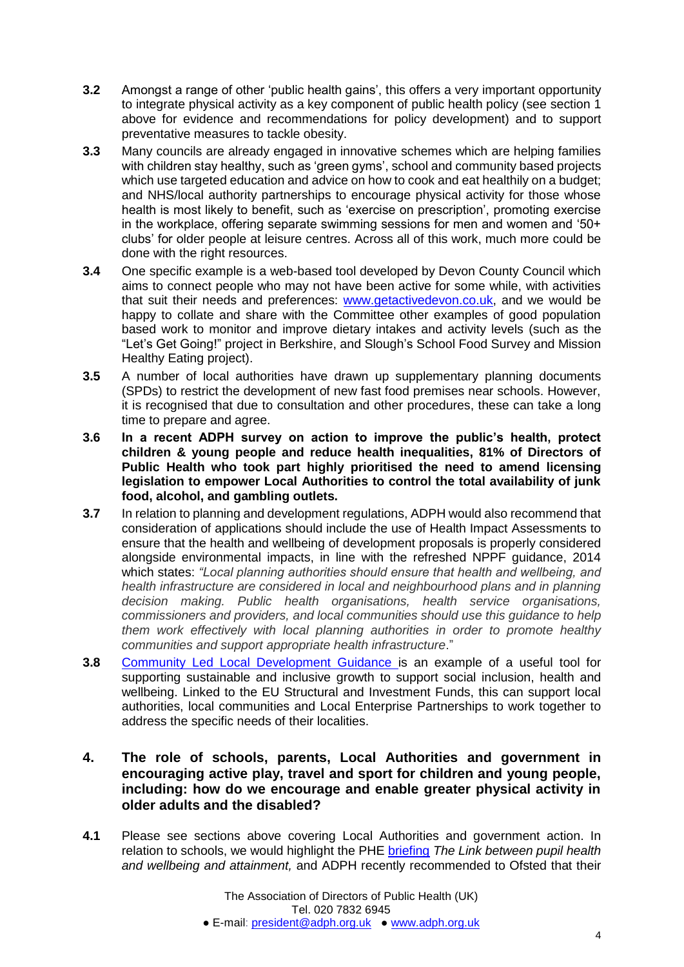- **3.2** Amongst a range of other 'public health gains', this offers a very important opportunity to integrate physical activity as a key component of public health policy (see section 1 above for evidence and recommendations for policy development) and to support preventative measures to tackle obesity.
- **3.3** Many councils are already engaged in innovative schemes which are helping families with children stay healthy, such as 'green gyms', school and community based projects which use targeted education and advice on how to cook and eat healthily on a budget; and NHS/local authority partnerships to encourage physical activity for those whose health is most likely to benefit, such as 'exercise on prescription', promoting exercise in the workplace, offering separate swimming sessions for men and women and '50+ clubs' for older people at leisure centres. Across all of this work, much more could be done with the right resources.
- **3.4** One specific example is a web-based tool developed by Devon County Council which aims to connect people who may not have been active for some while, with activities that suit their needs and preferences: [www.getactivedevon.co.uk,](http://www.getactivedevon.co.uk/) and we would be happy to collate and share with the Committee other examples of good population based work to monitor and improve dietary intakes and activity levels (such as the "Let's Get Going!" project in Berkshire, and Slough's School Food Survey and Mission Healthy Eating project).
- **3.5** A number of local authorities have drawn up supplementary planning documents (SPDs) to restrict the development of new fast food premises near schools. However, it is recognised that due to consultation and other procedures, these can take a long time to prepare and agree.
- **3.6 In a recent ADPH survey on action to improve the public's health, protect children & young people and reduce health inequalities, 81% of Directors of Public Health who took part highly prioritised the need to amend licensing legislation to empower Local Authorities to control the total availability of junk food, alcohol, and gambling outlets.**
- **3.7** In relation to planning and development regulations, ADPH would also recommend that consideration of applications should include the use of Health Impact Assessments to ensure that the health and wellbeing of development proposals is properly considered alongside environmental impacts, in line with the refreshed NPPF guidance, 2014 which states: *"Local planning authorities should ensure that health and wellbeing, and health infrastructure are considered in local and neighbourhood plans and in planning decision making. Public health organisations, health service organisations, commissioners and providers, and local communities should use this guidance to help them work effectively with local planning authorities in order to promote healthy communities and support appropriate health infrastructure*."
- **3.8** [Community Led Local Development Guidance i](http://europeanfundingnetwork.eu/news/new-community-led-local-development-guidance)s an example of a useful tool for supporting sustainable and inclusive growth to support social inclusion, health and wellbeing. Linked to the EU Structural and Investment Funds, this can support local authorities, local communities and Local Enterprise Partnerships to work together to address the specific needs of their localities.
- **4. The role of schools, parents, Local Authorities and government in encouraging active play, travel and sport for children and young people, including: how do we encourage and enable greater physical activity in older adults and the disabled?**
- **4.1** Please see sections above covering Local Authorities and government action. In relation to schools, we would highlight the PHE [briefing](https://www.gov.uk/government/uploads/system/uploads/attachment_data/file/370686/HT_briefing_layoutvFINALvii.pdf) *The Link between pupil health and wellbeing and attainment,* and ADPH recently recommended to Ofsted that their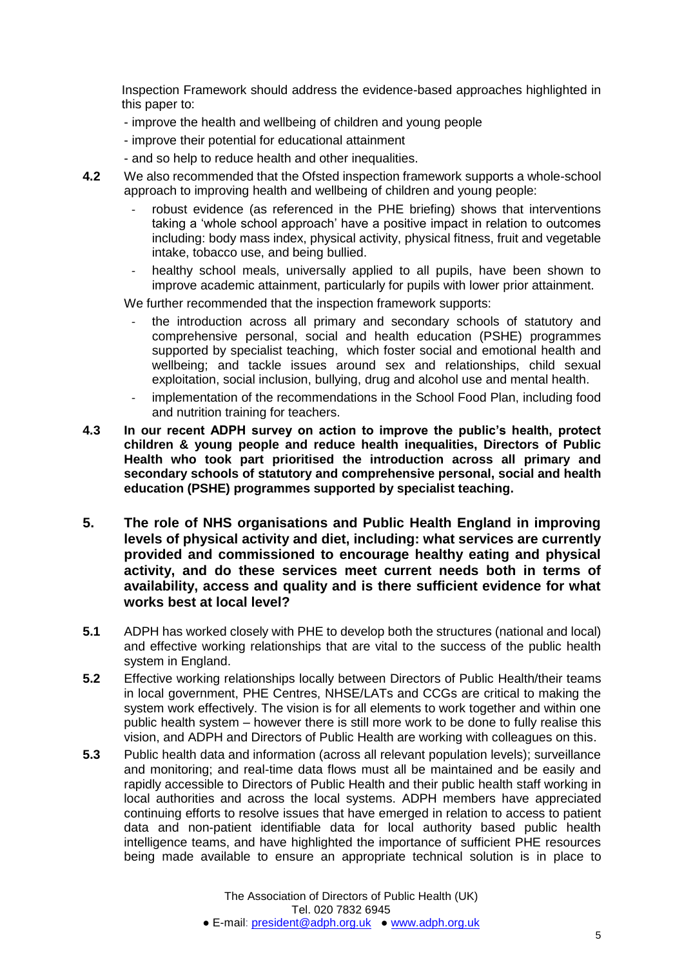Inspection Framework should address the evidence-based approaches highlighted in this paper to:

- improve the health and wellbeing of children and young people
- improve their potential for educational attainment
- and so help to reduce health and other inequalities.
- **4.2** We also recommended that the Ofsted inspection framework supports a whole-school approach to improving health and wellbeing of children and young people:
	- robust evidence (as referenced in the PHE briefing) shows that interventions taking a 'whole school approach' have a positive impact in relation to outcomes including: body mass index, physical activity, physical fitness, fruit and vegetable intake, tobacco use, and being bullied.
	- healthy school meals, universally applied to all pupils, have been shown to improve academic attainment, particularly for pupils with lower prior attainment.

We further recommended that the inspection framework supports:

- the introduction across all primary and secondary schools of statutory and comprehensive personal, social and health education (PSHE) programmes supported by specialist teaching, which foster social and emotional health and wellbeing; and tackle issues around sex and relationships, child sexual exploitation, social inclusion, bullying, drug and alcohol use and mental health.
- implementation of the recommendations in the School Food Plan, including food and nutrition training for teachers.
- **4.3 In our recent ADPH survey on action to improve the public's health, protect children & young people and reduce health inequalities, Directors of Public Health who took part prioritised the introduction across all primary and secondary schools of statutory and comprehensive personal, social and health education (PSHE) programmes supported by specialist teaching.**
- **5. The role of NHS organisations and Public Health England in improving levels of physical activity and diet, including: what services are currently provided and commissioned to encourage healthy eating and physical activity, and do these services meet current needs both in terms of availability, access and quality and is there sufficient evidence for what works best at local level?**
- **5.1** ADPH has worked closely with PHE to develop both the structures (national and local) and effective working relationships that are vital to the success of the public health system in England.
- **5.2** Effective working relationships locally between Directors of Public Health/their teams in local government, PHE Centres, NHSE/LATs and CCGs are critical to making the system work effectively. The vision is for all elements to work together and within one public health system – however there is still more work to be done to fully realise this vision, and ADPH and Directors of Public Health are working with colleagues on this.
- **5.3** Public health data and information (across all relevant population levels); surveillance and monitoring; and real-time data flows must all be maintained and be easily and rapidly accessible to Directors of Public Health and their public health staff working in local authorities and across the local systems. ADPH members have appreciated continuing efforts to resolve issues that have emerged in relation to access to patient data and non-patient identifiable data for local authority based public health intelligence teams, and have highlighted the importance of sufficient PHE resources being made available to ensure an appropriate technical solution is in place to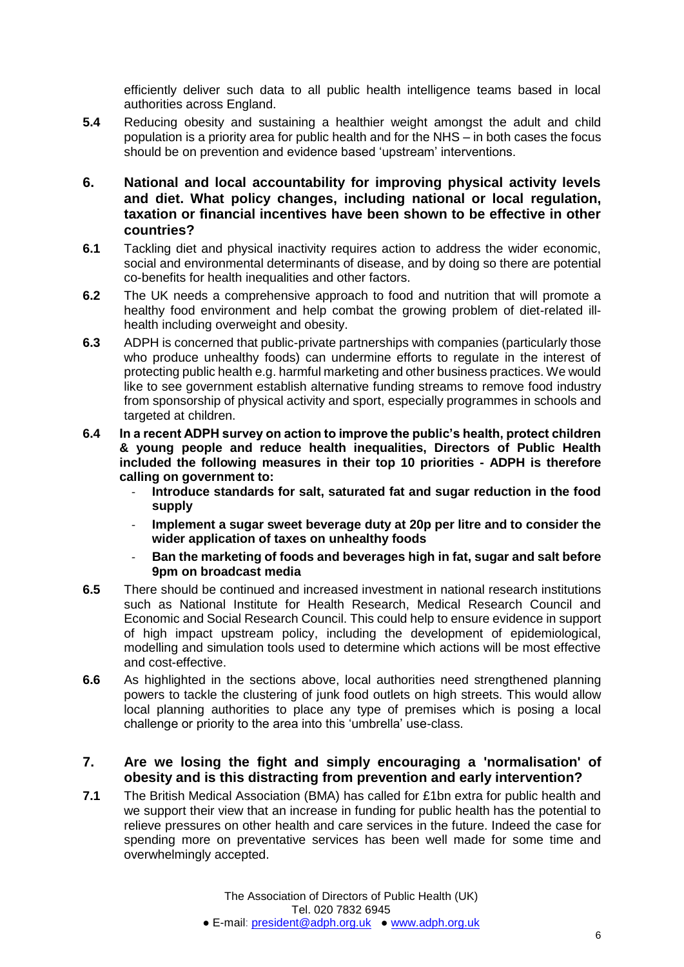efficiently deliver such data to all public health intelligence teams based in local authorities across England.

- **5.4** Reducing obesity and sustaining a healthier weight amongst the adult and child population is a priority area for public health and for the NHS – in both cases the focus should be on prevention and evidence based 'upstream' interventions.
- **6. National and local accountability for improving physical activity levels and diet. What policy changes, including national or local regulation, taxation or financial incentives have been shown to be effective in other countries?**
- **6.1** Tackling diet and physical inactivity requires action to address the wider economic, social and environmental determinants of disease, and by doing so there are potential co-benefits for health inequalities and other factors.
- **6.2** The UK needs a comprehensive approach to food and nutrition that will promote a healthy food environment and help combat the growing problem of diet-related illhealth including overweight and obesity.
- **6.3** ADPH is concerned that public-private partnerships with companies (particularly those who produce unhealthy foods) can undermine efforts to regulate in the interest of protecting public health e.g. harmful marketing and other business practices. We would like to see government establish alternative funding streams to remove food industry from sponsorship of physical activity and sport, especially programmes in schools and targeted at children.
- **6.4 In a recent ADPH survey on action to improve the public's health, protect children & young people and reduce health inequalities, Directors of Public Health included the following measures in their top 10 priorities - ADPH is therefore calling on government to:**
	- **Introduce standards for salt, saturated fat and sugar reduction in the food supply**
	- **Implement a sugar sweet beverage duty at 20p per litre and to consider the wider application of taxes on unhealthy foods**
	- **Ban the marketing of foods and beverages high in fat, sugar and salt before 9pm on broadcast media**
- **6.5** There should be continued and increased investment in national research institutions such as National Institute for Health Research, Medical Research Council and Economic and Social Research Council. This could help to ensure evidence in support of high impact upstream policy, including the development of epidemiological, modelling and simulation tools used to determine which actions will be most effective and cost-effective.
- **6.6** As highlighted in the sections above, local authorities need strengthened planning powers to tackle the clustering of junk food outlets on high streets. This would allow local planning authorities to place any type of premises which is posing a local challenge or priority to the area into this 'umbrella' use-class.

#### **7. Are we losing the fight and simply encouraging a 'normalisation' of obesity and is this distracting from prevention and early intervention?**

**7.1** The British Medical Association (BMA) has called for £1bn extra for public health and we support their view that an increase in funding for public health has the potential to relieve pressures on other health and care services in the future. Indeed the case for spending more on preventative services has been well made for some time and overwhelmingly accepted.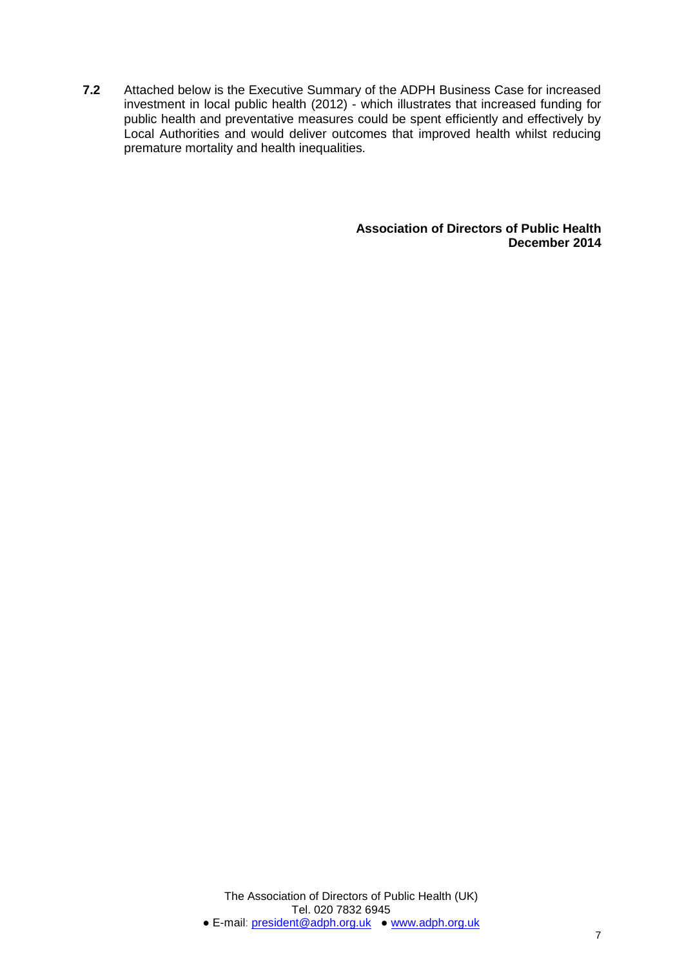**7.2** Attached below is the Executive Summary of the ADPH Business Case for increased investment in local public health (2012) - which illustrates that increased funding for public health and preventative measures could be spent efficiently and effectively by Local Authorities and would deliver outcomes that improved health whilst reducing premature mortality and health inequalities.

> **Association of Directors of Public Health December 2014**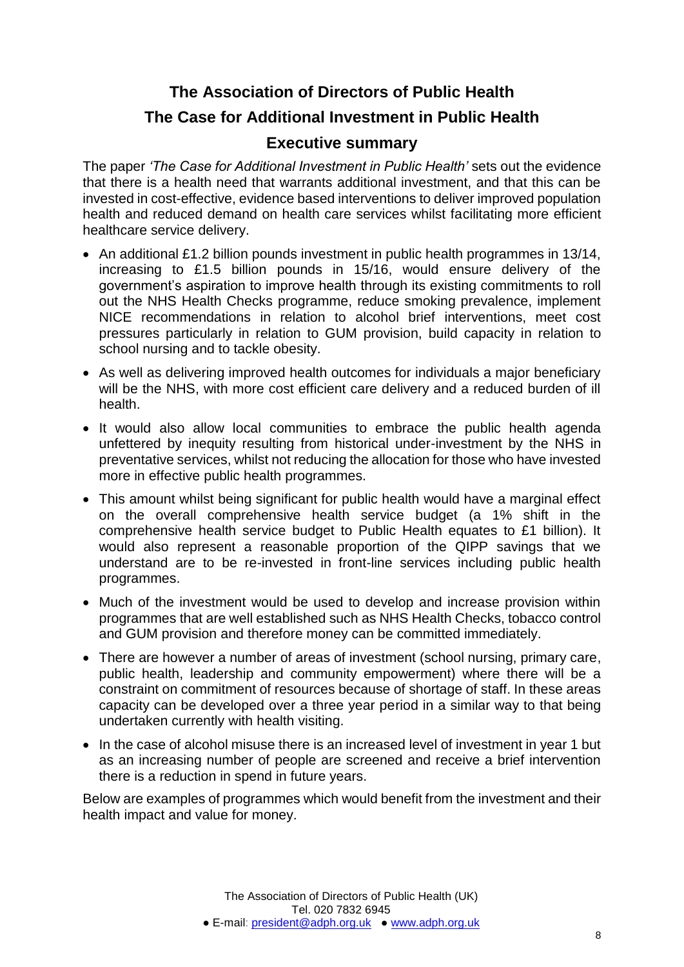# **The Association of Directors of Public Health The Case for Additional Investment in Public Health Executive summary**

The paper *'The Case for Additional Investment in Public Health'* sets out the evidence that there is a health need that warrants additional investment, and that this can be invested in cost-effective, evidence based interventions to deliver improved population health and reduced demand on health care services whilst facilitating more efficient healthcare service delivery.

- An additional £1.2 billion pounds investment in public health programmes in 13/14, increasing to £1.5 billion pounds in 15/16, would ensure delivery of the government's aspiration to improve health through its existing commitments to roll out the NHS Health Checks programme, reduce smoking prevalence, implement NICE recommendations in relation to alcohol brief interventions, meet cost pressures particularly in relation to GUM provision, build capacity in relation to school nursing and to tackle obesity.
- As well as delivering improved health outcomes for individuals a major beneficiary will be the NHS, with more cost efficient care delivery and a reduced burden of ill health.
- It would also allow local communities to embrace the public health agenda unfettered by inequity resulting from historical under-investment by the NHS in preventative services, whilst not reducing the allocation for those who have invested more in effective public health programmes.
- This amount whilst being significant for public health would have a marginal effect on the overall comprehensive health service budget (a 1% shift in the comprehensive health service budget to Public Health equates to £1 billion). It would also represent a reasonable proportion of the QIPP savings that we understand are to be re-invested in front-line services including public health programmes.
- Much of the investment would be used to develop and increase provision within programmes that are well established such as NHS Health Checks, tobacco control and GUM provision and therefore money can be committed immediately.
- There are however a number of areas of investment (school nursing, primary care, public health, leadership and community empowerment) where there will be a constraint on commitment of resources because of shortage of staff. In these areas capacity can be developed over a three year period in a similar way to that being undertaken currently with health visiting.
- In the case of alcohol misuse there is an increased level of investment in year 1 but as an increasing number of people are screened and receive a brief intervention there is a reduction in spend in future years.

Below are examples of programmes which would benefit from the investment and their health impact and value for money.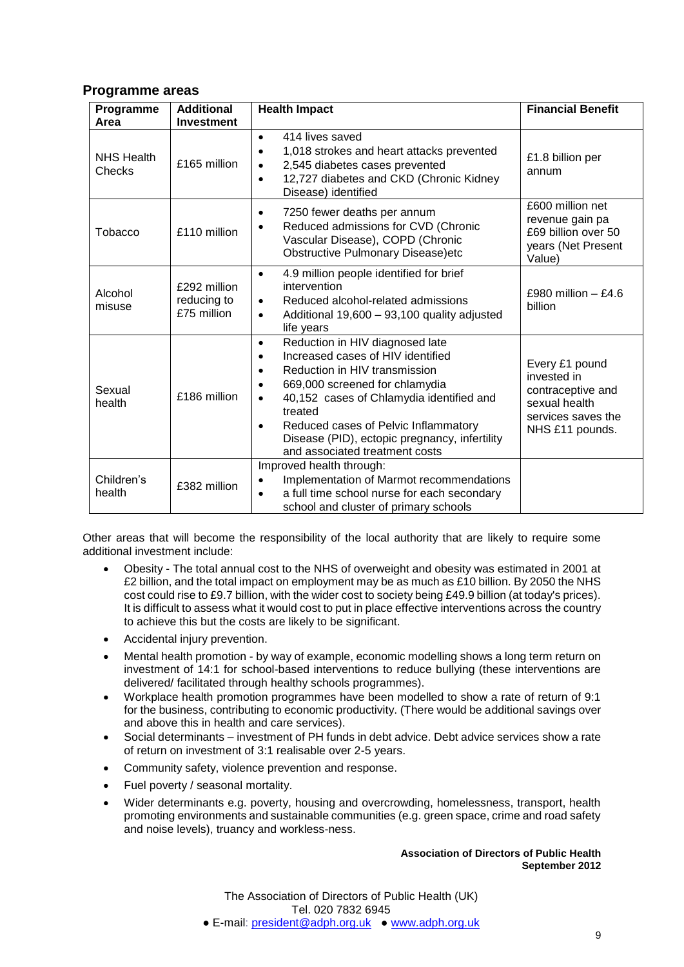#### **Programme areas**

| Programme<br>Area           | <b>Additional</b><br><b>Investment</b>     | <b>Health Impact</b>                                                                                                                                                                                                                                                                                                                                          | <b>Financial Benefit</b>                                                                                     |
|-----------------------------|--------------------------------------------|---------------------------------------------------------------------------------------------------------------------------------------------------------------------------------------------------------------------------------------------------------------------------------------------------------------------------------------------------------------|--------------------------------------------------------------------------------------------------------------|
| <b>NHS Health</b><br>Checks | £165 million                               | 414 lives saved<br>$\bullet$<br>1,018 strokes and heart attacks prevented<br>٠<br>2,545 diabetes cases prevented<br>$\bullet$<br>12,727 diabetes and CKD (Chronic Kidney<br>$\bullet$<br>Disease) identified                                                                                                                                                  | £1.8 billion per<br>annum                                                                                    |
| Tobacco                     | £110 million                               | 7250 fewer deaths per annum<br>$\bullet$<br>Reduced admissions for CVD (Chronic<br>$\bullet$<br>Vascular Disease), COPD (Chronic<br><b>Obstructive Pulmonary Disease)etc</b>                                                                                                                                                                                  | £600 million net<br>revenue gain pa<br>£69 billion over 50<br>years (Net Present<br>Value)                   |
| Alcohol<br>misuse           | £292 million<br>reducing to<br>£75 million | 4.9 million people identified for brief<br>$\bullet$<br>intervention<br>Reduced alcohol-related admissions<br>$\bullet$<br>Additional 19,600 - 93,100 quality adjusted<br>$\bullet$<br>life years                                                                                                                                                             | £980 million $-$ £4.6<br>billion                                                                             |
| Sexual<br>health            | £186 million                               | Reduction in HIV diagnosed late<br>$\bullet$<br>Increased cases of HIV identified<br>٠<br>Reduction in HIV transmission<br>669,000 screened for chlamydia<br>40,152 cases of Chlamydia identified and<br>$\bullet$<br>treated<br>Reduced cases of Pelvic Inflammatory<br>٠<br>Disease (PID), ectopic pregnancy, infertility<br>and associated treatment costs | Every £1 pound<br>invested in<br>contraceptive and<br>sexual health<br>services saves the<br>NHS £11 pounds. |
| Children's<br>health        | £382 million                               | Improved health through:<br>Implementation of Marmot recommendations<br>a full time school nurse for each secondary<br>$\bullet$<br>school and cluster of primary schools                                                                                                                                                                                     |                                                                                                              |

Other areas that will become the responsibility of the local authority that are likely to require some additional investment include:

- Obesity The total annual cost to the NHS of overweight and obesity was estimated in 2001 at £2 billion, and the total impact on employment may be as much as £10 billion. By 2050 the NHS cost could rise to £9.7 billion, with the wider cost to society being £49.9 billion (at today's prices). It is difficult to assess what it would cost to put in place effective interventions across the country to achieve this but the costs are likely to be significant.
- Accidental injury prevention.
- Mental health promotion by way of example, economic modelling shows a long term return on investment of 14:1 for school-based interventions to reduce bullying (these interventions are delivered/ facilitated through healthy schools programmes).
- Workplace health promotion programmes have been modelled to show a rate of return of 9:1 for the business, contributing to economic productivity. (There would be additional savings over and above this in health and care services).
- Social determinants investment of PH funds in debt advice. Debt advice services show a rate of return on investment of 3:1 realisable over 2-5 years.
- Community safety, violence prevention and response.
- Fuel poverty / seasonal mortality.
- Wider determinants e.g. poverty, housing and overcrowding, homelessness, transport, health promoting environments and sustainable communities (e.g. green space, crime and road safety and noise levels), truancy and workless-ness.

#### **Association of Directors of Public Health September 2012**